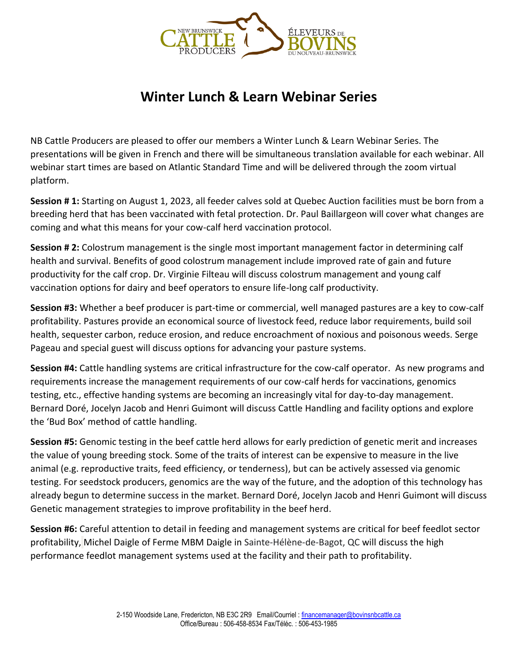

## **Winter Lunch & Learn Webinar Series**

NB Cattle Producers are pleased to offer our members a Winter Lunch & Learn Webinar Series. The presentations will be given in French and there will be simultaneous translation available for each webinar. All webinar start times are based on Atlantic Standard Time and will be delivered through the zoom virtual platform.

**Session # 1:** Starting on August 1, 2023, all feeder calves sold at Quebec Auction facilities must be born from a breeding herd that has been vaccinated with fetal protection. Dr. Paul Baillargeon will cover what changes are coming and what this means for your cow-calf herd vaccination protocol.

**Session # 2:** Colostrum management is the single most important management factor in determining calf health and survival. Benefits of good colostrum management include improved rate of gain and future productivity for the calf crop. Dr. Virginie Filteau will discuss colostrum management and young calf vaccination options for dairy and beef operators to ensure life-long calf productivity.

**Session #3:** Whether a beef producer is part-time or commercial, well managed pastures are a key to cow-calf profitability. Pastures provide an economical source of livestock feed, reduce labor requirements, build soil health, sequester carbon, reduce erosion, and reduce encroachment of noxious and poisonous weeds. Serge Pageau and special guest will discuss options for advancing your pasture systems.

**Session #4:** Cattle handling systems are critical infrastructure for the cow-calf operator. As new programs and requirements increase the management requirements of our cow-calf herds for vaccinations, genomics testing, etc., effective handing systems are becoming an increasingly vital for day-to-day management. Bernard Doré, Jocelyn Jacob and Henri Guimont will discuss Cattle Handling and facility options and explore the 'Bud Box' method of cattle handling.

**Session #5:** Genomic testing in the beef cattle herd allows for early prediction of genetic merit and increases the value of young breeding stock. Some of the traits of interest can be expensive to measure in the live animal (e.g. reproductive traits, feed efficiency, or tenderness), but can be actively assessed via genomic testing. For seedstock producers, genomics are the way of the future, and the adoption of this technology has already begun to determine success in the market. Bernard Doré, Jocelyn Jacob and Henri Guimont will discuss Genetic management strategies to improve profitability in the beef herd.

**Session #6:** Careful attention to detail in feeding and management systems are critical for beef feedlot sector profitability, Michel Daigle of Ferme MBM Daigle in Sainte-Hélène-de-Bagot, QC will discuss the high performance feedlot management systems used at the facility and their path to profitability.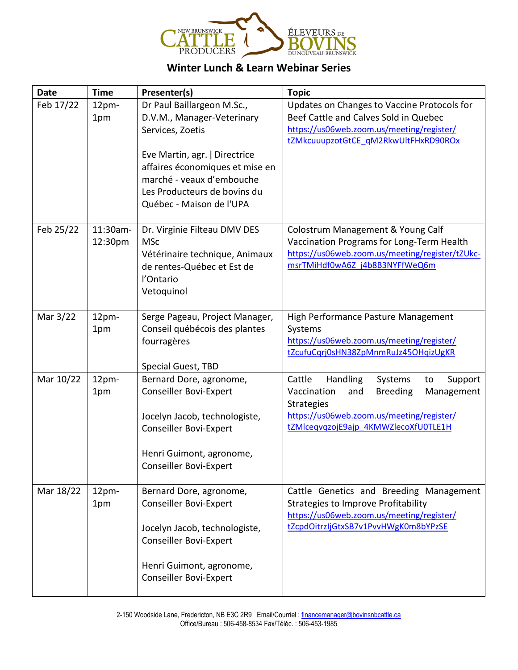

## **Winter Lunch & Learn Webinar Series**

| <b>Date</b> | <b>Time</b>         | Presenter(s)                                                                                                                                                                                                  | <b>Topic</b>                                                                                                                                                                                                    |
|-------------|---------------------|---------------------------------------------------------------------------------------------------------------------------------------------------------------------------------------------------------------|-----------------------------------------------------------------------------------------------------------------------------------------------------------------------------------------------------------------|
| Feb 17/22   | 12pm-<br>1pm        | Dr Paul Baillargeon M.Sc.,<br>D.V.M., Manager-Veterinary<br>Services, Zoetis<br>Eve Martin, agr.   Directrice<br>affaires économiques et mise en<br>marché - veaux d'embouche<br>Les Producteurs de bovins du | Updates on Changes to Vaccine Protocols for<br>Beef Cattle and Calves Sold in Quebec<br>https://us06web.zoom.us/meeting/register/<br>tZMkcuuupzotGtCE qM2RkwUltFHxRD90ROx                                       |
|             |                     | Québec - Maison de l'UPA                                                                                                                                                                                      |                                                                                                                                                                                                                 |
| Feb 25/22   | 11:30am-<br>12:30pm | Dr. Virginie Filteau DMV DES<br><b>MSc</b><br>Vétérinaire technique, Animaux<br>de rentes-Québec et Est de<br>l'Ontario<br>Vetoquinol                                                                         | Colostrum Management & Young Calf<br>Vaccination Programs for Long-Term Health<br>https://us06web.zoom.us/meeting/register/tZUkc-<br>msrTMiHdf0wA6Z j4b8B3NYFfWeQ6m                                             |
| Mar 3/22    | 12pm-<br>1pm        | Serge Pageau, Project Manager,<br>Conseil québécois des plantes<br>fourragères<br>Special Guest, TBD                                                                                                          | High Performance Pasture Management<br>Systems<br>https://us06web.zoom.us/meeting/register/<br>tZcufuCqrj0sHN38ZpMnmRuJz45OHqizUgKR                                                                             |
| Mar 10/22   | 12pm-<br>1pm        | Bernard Dore, agronome,<br><b>Conseiller Bovi-Expert</b><br>Jocelyn Jacob, technologiste,<br><b>Conseiller Bovi-Expert</b><br>Henri Guimont, agronome,<br><b>Conseiller Bovi-Expert</b>                       | Handling<br>Cattle<br>Systems<br>Support<br>to<br>Vaccination<br><b>Breeding</b><br>and<br>Management<br><b>Strategies</b><br>https://us06web.zoom.us/meeting/register/<br>tZMlcegvqzojE9ajp 4KMWZlecoXfU0TLE1H |
| Mar 18/22   | 12pm-<br>1pm        | Bernard Dore, agronome,<br><b>Conseiller Bovi-Expert</b><br>Jocelyn Jacob, technologiste,<br><b>Conseiller Bovi-Expert</b><br>Henri Guimont, agronome,<br><b>Conseiller Bovi-Expert</b>                       | Cattle Genetics and Breeding Management<br><b>Strategies to Improve Profitability</b><br>https://us06web.zoom.us/meeting/register/<br>tZcpdOitrzIjGtxSB7v1PvvHWgK0m8bYPzSE                                      |